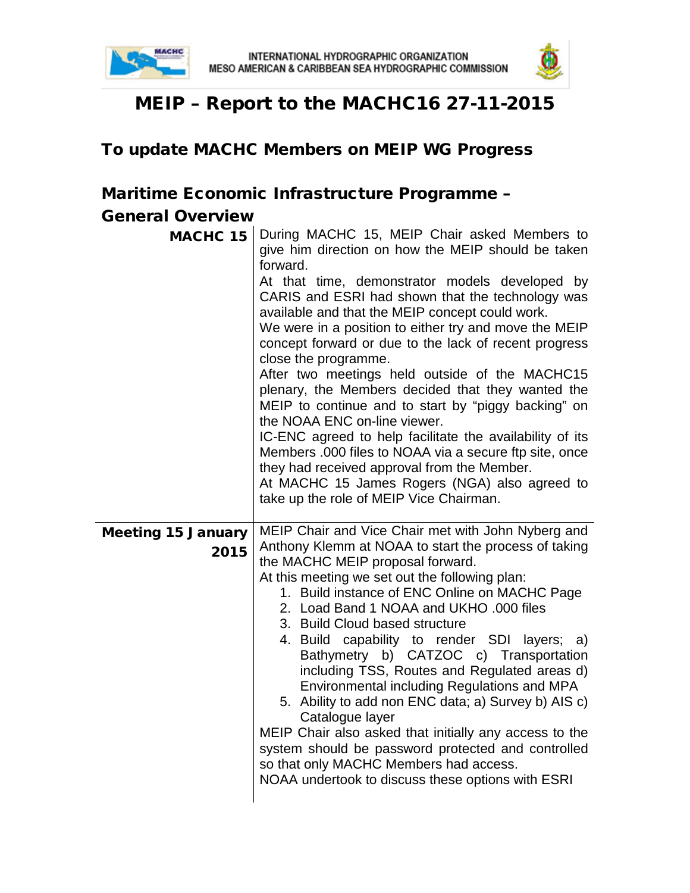



# MEIP – Report to the MACHC16 27-11-2015

## To update MACHC Members on MEIP WG Progress

## Maritime Economic Infrastructure Programme –

#### General Overview

| <b>MACHC 15</b>                   | During MACHC 15, MEIP Chair asked Members to<br>give him direction on how the MEIP should be taken<br>forward.<br>At that time, demonstrator models developed by<br>CARIS and ESRI had shown that the technology was<br>available and that the MEIP concept could work.<br>We were in a position to either try and move the MEIP<br>concept forward or due to the lack of recent progress<br>close the programme.<br>After two meetings held outside of the MACHC15<br>plenary, the Members decided that they wanted the<br>MEIP to continue and to start by "piggy backing" on<br>the NOAA ENC on-line viewer.<br>IC-ENC agreed to help facilitate the availability of its<br>Members .000 files to NOAA via a secure ftp site, once<br>they had received approval from the Member.<br>At MACHC 15 James Rogers (NGA) also agreed to<br>take up the role of MEIP Vice Chairman. |
|-----------------------------------|----------------------------------------------------------------------------------------------------------------------------------------------------------------------------------------------------------------------------------------------------------------------------------------------------------------------------------------------------------------------------------------------------------------------------------------------------------------------------------------------------------------------------------------------------------------------------------------------------------------------------------------------------------------------------------------------------------------------------------------------------------------------------------------------------------------------------------------------------------------------------------|
| <b>Meeting 15 January</b><br>2015 | MEIP Chair and Vice Chair met with John Nyberg and<br>Anthony Klemm at NOAA to start the process of taking<br>the MACHC MEIP proposal forward.<br>At this meeting we set out the following plan:<br>1. Build instance of ENC Online on MACHC Page<br>2. Load Band 1 NOAA and UKHO .000 files<br>3. Build Cloud based structure<br>4. Build capability to render SDI<br>layers; $a)$<br>Bathymetry b) CATZOC c) Transportation<br>including TSS, Routes and Regulated areas d)<br>Environmental including Regulations and MPA<br>5. Ability to add non ENC data; a) Survey b) AIS c)<br>Catalogue layer<br>MEIP Chair also asked that initially any access to the<br>system should be password protected and controlled<br>so that only MACHC Members had access.<br>NOAA undertook to discuss these options with ESRI                                                            |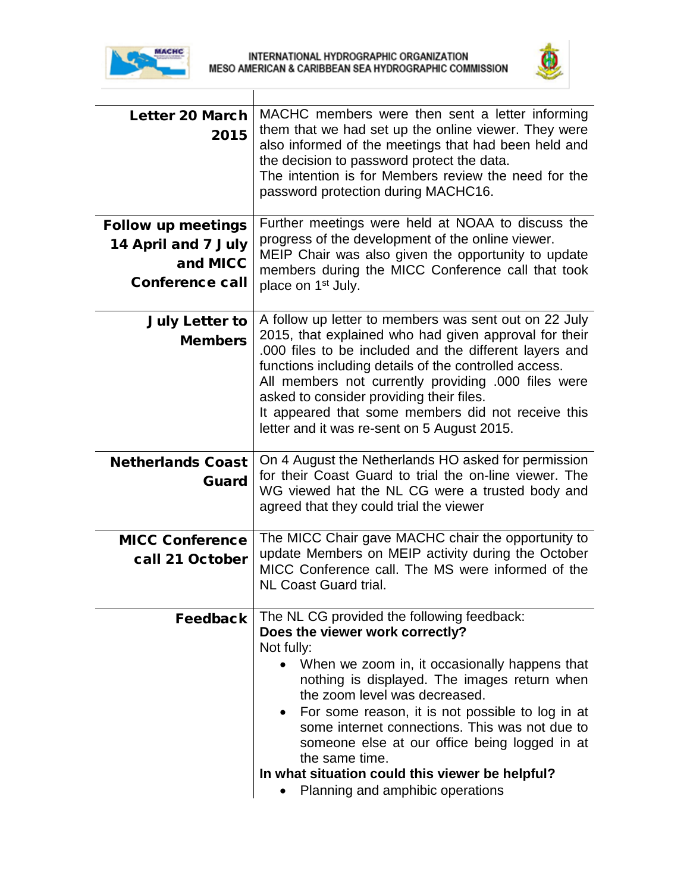



| <b>Letter 20 March</b><br>2015                                                         | MACHC members were then sent a letter informing<br>them that we had set up the online viewer. They were<br>also informed of the meetings that had been held and<br>the decision to password protect the data.<br>The intention is for Members review the need for the<br>password protection during MACHC16.                                                                                                                                                                                  |
|----------------------------------------------------------------------------------------|-----------------------------------------------------------------------------------------------------------------------------------------------------------------------------------------------------------------------------------------------------------------------------------------------------------------------------------------------------------------------------------------------------------------------------------------------------------------------------------------------|
| <b>Follow up meetings</b><br>14 April and 7 July<br>and MICC<br><b>Conference call</b> | Further meetings were held at NOAA to discuss the<br>progress of the development of the online viewer.<br>MEIP Chair was also given the opportunity to update<br>members during the MICC Conference call that took<br>place on 1 <sup>st</sup> July.                                                                                                                                                                                                                                          |
| <b>July Letter to</b><br><b>Members</b>                                                | A follow up letter to members was sent out on 22 July<br>2015, that explained who had given approval for their<br>.000 files to be included and the different layers and<br>functions including details of the controlled access.<br>All members not currently providing .000 files were<br>asked to consider providing their files.<br>It appeared that some members did not receive this<br>letter and it was re-sent on 5 August 2015.                                                     |
| <b>Netherlands Coast</b><br>Guard                                                      | On 4 August the Netherlands HO asked for permission<br>for their Coast Guard to trial the on-line viewer. The<br>WG viewed hat the NL CG were a trusted body and<br>agreed that they could trial the viewer                                                                                                                                                                                                                                                                                   |
| <b>MICC Conference</b><br>call 21 October                                              | The MICC Chair gave MACHC chair the opportunity to<br>update Members on MEIP activity during the October<br>MICC Conference call. The MS were informed of the<br><b>NL Coast Guard trial.</b>                                                                                                                                                                                                                                                                                                 |
| <b>Feedback</b>                                                                        | The NL CG provided the following feedback:<br>Does the viewer work correctly?<br>Not fully:<br>When we zoom in, it occasionally happens that<br>nothing is displayed. The images return when<br>the zoom level was decreased.<br>For some reason, it is not possible to log in at<br>some internet connections. This was not due to<br>someone else at our office being logged in at<br>the same time.<br>In what situation could this viewer be helpful?<br>Planning and amphibic operations |